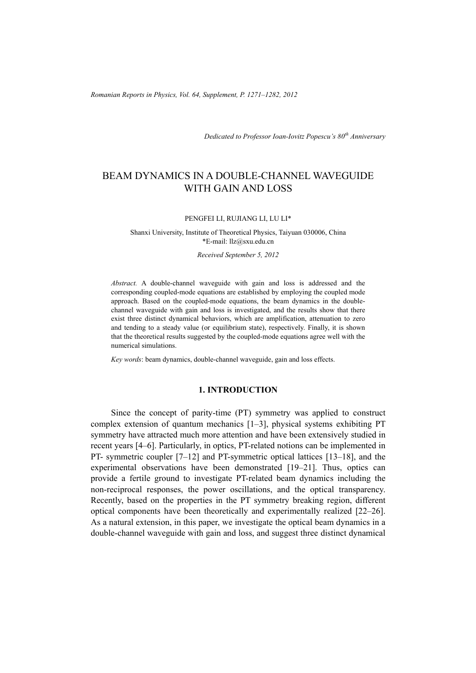*Romanian Reports in Physics, Vol. 64, Supplement, P. 1271–1282, 2012*

*Dedicated to Professor Ioan-Iovitz Popescu's 80th Anniversary*

# BEAM DYNAMICS IN A DOUBLE-CHANNEL WAVEGUIDE WITH GAIN AND LOSS

#### PENGFEI LI, RUJIANG LI, LU LI\*

Shanxi University, Institute of Theoretical Physics, Taiyuan 030006, China \*E-mail: llz@sxu.edu.cn

*Received September 5, 2012* 

*Abstract.* A double-channel waveguide with gain and loss is addressed and the corresponding coupled-mode equations are established by employing the coupled mode approach. Based on the coupled-mode equations, the beam dynamics in the doublechannel waveguide with gain and loss is investigated, and the results show that there exist three distinct dynamical behaviors, which are amplification, attenuation to zero and tending to a steady value (or equilibrium state), respectively. Finally, it is shown that the theoretical results suggested by the coupled-mode equations agree well with the numerical simulations.

*Key words*: beam dynamics, double-channel waveguide, gain and loss effects.

## **1. INTRODUCTION**

Since the concept of parity-time (PT) symmetry was applied to construct complex extension of quantum mechanics [1–3], physical systems exhibiting PT symmetry have attracted much more attention and have been extensively studied in recent years [4–6]. Particularly, in optics, PT-related notions can be implemented in PT- symmetric coupler [7–12] and PT-symmetric optical lattices [13–18], and the experimental observations have been demonstrated [19–21]. Thus, optics can provide a fertile ground to investigate PT-related beam dynamics including the non-reciprocal responses, the power oscillations, and the optical transparency. Recently, based on the properties in the PT symmetry breaking region, different optical components have been theoretically and experimentally realized [22–26]. As a natural extension, in this paper, we investigate the optical beam dynamics in a double-channel waveguide with gain and loss, and suggest three distinct dynamical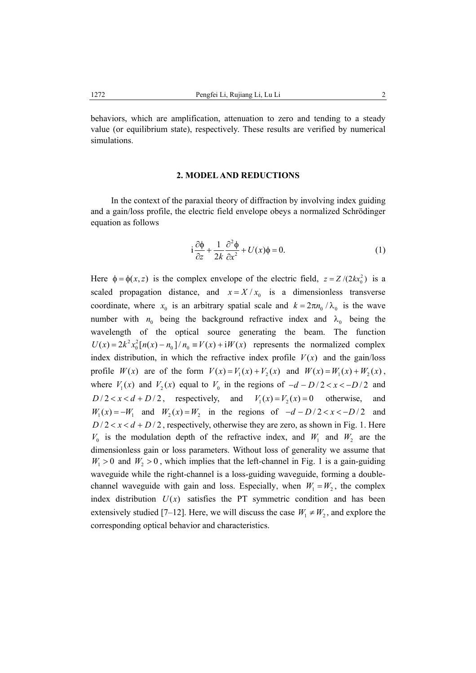behaviors, which are amplification, attenuation to zero and tending to a steady value (or equilibrium state), respectively. These results are verified by numerical simulations.

#### **2. MODEL AND REDUCTIONS**

In the context of the paraxial theory of diffraction by involving index guiding and a gain/loss profile, the electric field envelope obeys a normalized Schrödinger equation as follows

$$
i\frac{\partial\phi}{\partial z} + \frac{1}{2k}\frac{\partial^2\phi}{\partial x^2} + U(x)\phi = 0.
$$
 (1)

Here  $\phi = \phi(x, z)$  is the complex envelope of the electric field,  $z = Z/(2kx_0^2)$  is a scaled propagation distance, and  $x = X/x_0$  is a dimensionless transverse coordinate, where  $x_0$  is an arbitrary spatial scale and  $k = 2\pi n_0 / \lambda_0$  is the wave number with  $n_0$  being the background refractive index and  $\lambda_0$  being the wavelength of the optical source generating the beam. The function  $U(x) = 2k^2 x_0^2 [n(x) - n_0]/n_0 \equiv V(x) + iW(x)$  represents the normalized complex index distribution, in which the refractive index profile  $V(x)$  and the gain/loss profile  $W(x)$  are of the form  $V(x) = V_1(x) + V_2(x)$  and  $W(x) = W_1(x) + W_2(x)$ , where  $V_1(x)$  and  $V_2(x)$  equal to  $V_0$  in the regions of  $-d-D/2 < x < -D/2$  and  $D/2 < x < d + D/2$ , respectively, and  $V_1(x) = V_2(x) = 0$  otherwise, and  $W_1(x) = -W_1$  and  $W_2(x) = W_2$  in the regions of  $-d-D/2 < x < -D/2$  and  $D/2 < x < d + D/2$ , respectively, otherwise they are zero, as shown in Fig. 1. Here  $V_0$  is the modulation depth of the refractive index, and  $W_1$  and  $W_2$  are the dimensionless gain or loss parameters. Without loss of generality we assume that  $W_1 > 0$  and  $W_2 > 0$ , which implies that the left-channel in Fig. 1 is a gain-guiding waveguide while the right-channel is a loss-guiding waveguide, forming a doublechannel waveguide with gain and loss. Especially, when  $W_1 = W_2$ , the complex index distribution  $U(x)$  satisfies the PT symmetric condition and has been extensively studied [7–12]. Here, we will discuss the case  $W_1 \neq W_2$ , and explore the corresponding optical behavior and characteristics.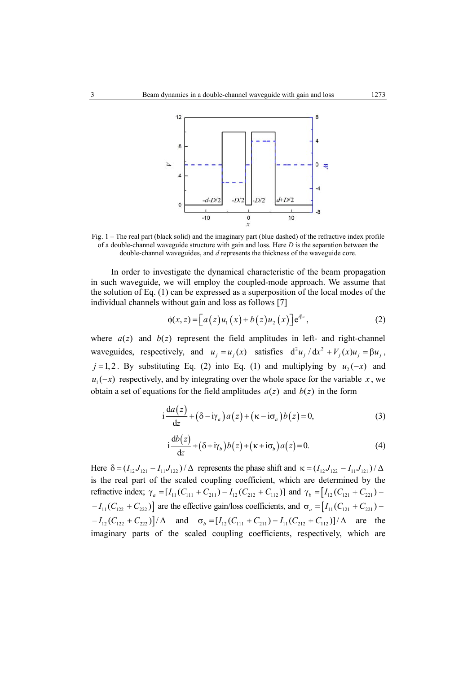

Fig. 1 – The real part (black solid) and the imaginary part (blue dashed) of the refractive index profile of a double-channel waveguide structure with gain and loss. Here *D* is the separation between the double-channel waveguides, and *d* represents the thickness of the waveguide core.

In order to investigate the dynamical characteristic of the beam propagation in such waveguide, we will employ the coupled-mode approach. We assume that the solution of Eq. (1) can be expressed as a superposition of the local modes of the individual channels without gain and loss as follows [7]

$$
\phi(x, z) = [a(z)u_1(x) + b(z)u_2(x)]e^{i\beta z},
$$
\n(2)

where  $a(z)$  and  $b(z)$  represent the field amplitudes in left- and right-channel waveguides, respectively, and  $u_j = u_j(x)$  satisfies  $d^2 u_j / dx^2 + V_j(x) u_j = \beta u_j$ , *j* =1, 2. By substituting Eq. (2) into Eq. (1) and multiplying by  $u_2(-x)$  and  $u_1(-x)$  respectively, and by integrating over the whole space for the variable x, we obtain a set of equations for the field amplitudes  $a(z)$  and  $b(z)$  in the form

$$
i\frac{da(z)}{dz} + (\delta - i\gamma_a)a(z) + (\kappa - i\sigma_a)b(z) = 0,
$$
\n(3)

$$
i\frac{db(z)}{dz} + (\delta + i\gamma_b) b(z) + (\kappa + i\sigma_b) a(z) = 0.
$$
 (4)

Here  $\delta = (I_{12} J_{121} - I_{11} J_{122}) / \Delta$  represents the phase shift and  $\kappa = (I_{12} J_{122} - I_{11} J_{121}) / \Delta$ is the real part of the scaled coupling coefficient, which are determined by the refractive index;  $\gamma_a = [I_{11}(C_{111} + C_{211}) - I_{12}(C_{212} + C_{112})]$  and  $\gamma_b = [I_{12}(C_{121} + C_{221}) - I_{12}(C_{121} + C_{221})]$  $-I_{11}(C_{122} + C_{222})$  are the effective gain/loss coefficients, and  $\sigma_a = [I_{11}(C_{121} + C_{221}) -I_{12}(C_{122} + C_{222})/\Delta$  and  $\sigma_b = [I_{12}(C_{111} + C_{211}) - I_{11}(C_{212} + C_{112})]/\Delta$  are the imaginary parts of the scaled coupling coefficients, respectively, which are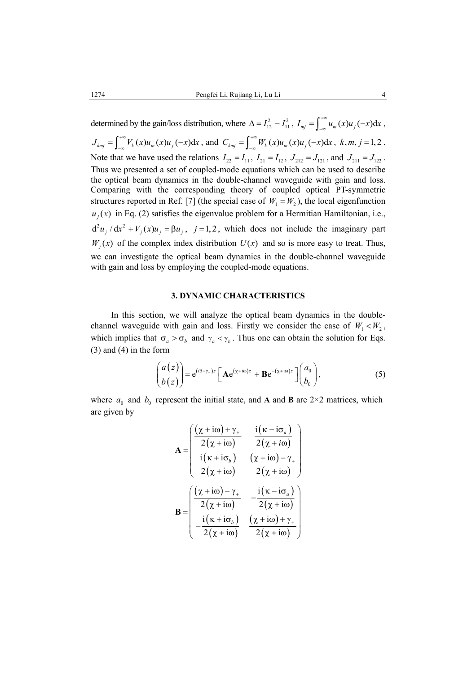determined by the gain/loss distribution, where  $\Delta = I_{12}^2 - I_{11}^2$ ,  $I_{mj} = \int_{-\infty}^{+\infty} u_m(x)u_j(-x)dx$ ,  $J_{kmj} = \int_{-\infty}^{+\infty} V_k(x)u_m(x)u_j(-x)dx$ , and  $C_{kmj} = \int_{-\infty}^{+\infty} W_k(x)u_m(x)u_j(-x)dx$ ,  $k, m, j = 1, 2$ . Note that we have used the relations  $I_{22} = I_{11}$ ,  $I_{21} = I_{12}$ ,  $J_{212} = J_{121}$ , and  $J_{211} = J_{122}$ . Thus we presented a set of coupled-mode equations which can be used to describe the optical beam dynamics in the double-channel waveguide with gain and loss. Comparing with the corresponding theory of coupled optical PT-symmetric structures reported in Ref. [7] (the special case of  $W_1 = W_2$ ), the local eigenfunction  $u_i(x)$  in Eq. (2) satisfies the eigenvalue problem for a Hermitian Hamiltonian, i.e.,  $d^2 u_i / dx^2 + V_i(x) u_i = \beta u_i$ ,  $j = 1, 2$ , which does not include the imaginary part  $W_i(x)$  of the complex index distribution  $U(x)$  and so is more easy to treat. Thus, we can investigate the optical beam dynamics in the double-channel waveguide with gain and loss by employing the coupled-mode equations.

### **3. DYNAMIC CHARACTERISTICS**

In this section, we will analyze the optical beam dynamics in the doublechannel waveguide with gain and loss. Firstly we consider the case of  $W_1 < W_2$ , which implies that  $\sigma_a > \sigma_b$  and  $\gamma_a < \gamma_b$ . Thus one can obtain the solution for Eqs. (3) and (4) in the form

$$
\begin{pmatrix} a(z) \\ b(z) \end{pmatrix} = e^{(i\delta - \gamma_{-})z} \left[ A e^{(\chi + i\omega)z} + B e^{-(\chi + i\omega)z} \right] \begin{pmatrix} a_0 \\ b_0 \end{pmatrix}, \tag{5}
$$

where  $a_0$  and  $b_0$  represent the initial state, and **A** and **B** are 2×2 matrices, which are given by

$$
\mathbf{A} = \begin{pmatrix} \frac{(\chi + i\omega) + \gamma_{+}}{2(\chi + i\omega)} & \frac{i(\kappa - i\sigma_{a})}{2(\chi + i\omega)} \\ \frac{i(\kappa + i\sigma_{b})}{2(\chi + i\omega)} & \frac{(\chi + i\omega) - \gamma_{+}}{2(\chi + i\omega)} \end{pmatrix}
$$

$$
\mathbf{B} = \begin{pmatrix} \frac{(\chi + i\omega) - \gamma_{+}}{2(\chi + i\omega)} & -\frac{i(\kappa - i\sigma_{a})}{2(\chi + i\omega)} \\ -\frac{i(\kappa + i\sigma_{b})}{2(\chi + i\omega)} & \frac{(\chi + i\omega) + \gamma_{+}}{2(\chi + i\omega)} \end{pmatrix}
$$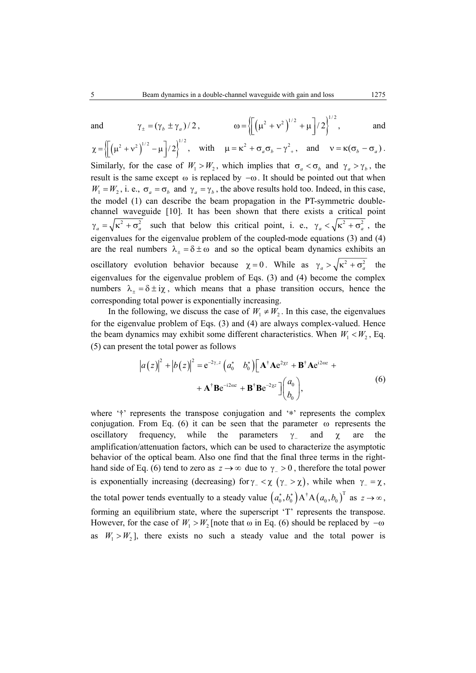and 
$$
\gamma_{\pm} = (\gamma_b \pm \gamma_a)/2
$$
,  $\omega = \left\{ \left[ \left( \mu^2 + v^2 \right)^{1/2} + \mu \right] / 2 \right\}^{1/2}$ , and

 $\chi = \left\{ \left[ \left( \mu^2 + v^2 \right)^{1/2} - \mu \right] / 2 \right\}^{1/2}, \quad \text{with} \quad \mu = \kappa^2 + \sigma_a \sigma_b - \gamma^2, \quad \text{and} \quad v = \kappa (\sigma_b - \sigma_a).$ Similarly, for the case of  $W_1 > W_2$ , which implies that  $\sigma_a < \sigma_b$  and  $\gamma_a > \gamma_b$ , the result is the same except  $\omega$  is replaced by  $-\omega$ . It should be pointed out that when  $W_1 = W_2$ , i. e.,  $\sigma_a = \sigma_b$  and  $\gamma_a = \gamma_b$ , the above results hold too. Indeed, in this case, the model (1) can describe the beam propagation in the PT-symmetric doublechannel waveguide [10]. It has been shown that there exists a critical point  $\gamma_a = \sqrt{\kappa^2 + \sigma_a^2}$  such that below this critical point, i. e.,  $\gamma_a < \sqrt{\kappa^2 + \sigma_a^2}$ , the eigenvalues for the eigenvalue problem of the coupled-mode equations (3) and (4) are the real numbers  $\lambda_+ = \delta \pm \omega$  and so the optical beam dynamics exhibits an oscillatory evolution behavior because  $\chi = 0$ . While as  $\gamma_a > \sqrt{\kappa^2 + \sigma_a^2}$  the eigenvalues for the eigenvalue problem of Eqs. (3) and (4) become the complex numbers  $\lambda_+ = \delta \pm i \chi$ , which means that a phase transition occurs, hence the corresponding total power is exponentially increasing.

In the following, we discuss the case of  $W_1 \neq W_2$ . In this case, the eigenvalues for the eigenvalue problem of Eqs. (3) and (4) are always complex-valued. Hence the beam dynamics may exhibit some different characteristics. When  $W_1 < W_2$ , Eq. (5) can present the total power as follows

$$
\left| a(z) \right|^2 + \left| b(z) \right|^2 = e^{-2\gamma z} \left( a_0^* - b_0^* \right) \left[ \mathbf{A}^\dagger \mathbf{A} e^{2\gamma z} + \mathbf{B}^\dagger \mathbf{A} e^{i2\omega z} + \right. \\ \left. + \mathbf{A}^\dagger \mathbf{B} e^{-i2\omega z} + \mathbf{B}^\dagger \mathbf{B} e^{-2\gamma z} \right] \left( \begin{matrix} a_0 \\ b_0 \end{matrix} \right), \tag{6}
$$

where '†' represents the transpose conjugation and '∗' represents the complex conjugation. From Eq. (6) it can be seen that the parameter  $\omega$  represents the oscillatory frequency, while the parameters  $\gamma$  and  $\chi$  are the amplification/attenuation factors, which can be used to characterize the asymptotic behavior of the optical beam. Also one find that the final three terms in the righthand side of Eq. (6) tend to zero as  $z \to \infty$  due to  $\gamma > 0$ , therefore the total power is exponentially increasing (decreasing) for  $\gamma_-\leq \chi$  ( $\gamma_-\geq \chi$ ), while when  $\gamma_-\geq \chi$ , the total power tends eventually to a steady value  $(a_0^*, b_0^*) A^{\dagger} A (a_0, b_0^{\dagger})^{\text{T}}$  as  $z \to \infty$ , forming an equilibrium state, where the superscript 'T' represents the transpose. However, for the case of  $W_1 > W_2$  [note that  $\omega$  in Eq. (6) should be replaced by  $-\omega$ as  $W_1 > W_2$ ], there exists no such a steady value and the total power is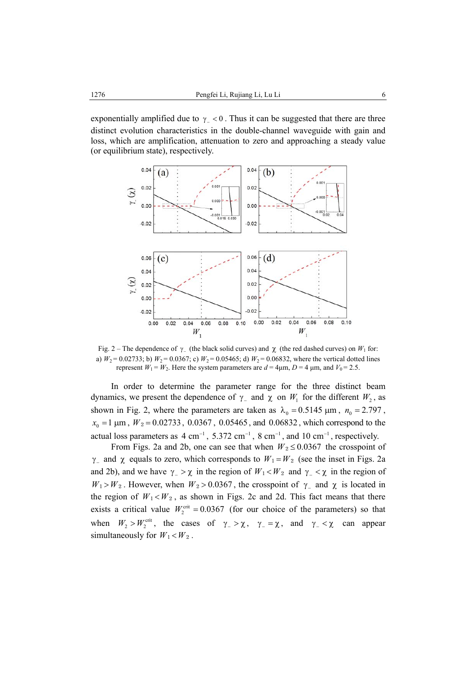exponentially amplified due to  $\gamma$  < 0. Thus it can be suggested that there are three distinct evolution characteristics in the double-channel waveguide with gain and loss, which are amplification, attenuation to zero and approaching a steady value (or equilibrium state), respectively.



Fig. 2 – The dependence of  $γ_$  (the black solid curves) and  $χ$  (the red dashed curves) on  $W_1$  for: a)  $W_2 = 0.02733$ ; b)  $W_2 = 0.0367$ ; c)  $W_2 = 0.05465$ ; d)  $W_2 = 0.06832$ , where the vertical dotted lines represent  $W_1 = W_2$ . Here the system parameters are  $d = 4\mu m$ ,  $D = 4\mu m$ , and  $V_0 = 2.5$ .

In order to determine the parameter range for the three distinct beam dynamics, we present the dependence of  $\gamma$  and  $\chi$  on  $W_1$  for the different  $W_2$ , as shown in Fig. 2, where the parameters are taken as  $\lambda_0 = 0.5145 \mu m$ ,  $n_0 = 2.797$ ,  $x_0 = 1 \,\mu\text{m}$ ,  $W_2 = 0.02733$ , 0.0367, 0.05465, and 0.06832, which correspond to the actual loss parameters as  $4 \text{ cm}^{-1}$ ,  $5.372 \text{ cm}^{-1}$ ,  $8 \text{ cm}^{-1}$ , and  $10 \text{ cm}^{-1}$ , respectively.

From Figs. 2a and 2b, one can see that when  $W_2 \le 0.0367$  the crosspoint of  $\gamma$  and  $\chi$  equals to zero, which corresponds to  $W_1 = W_2$  (see the inset in Figs. 2a and 2b), and we have  $\gamma$  >  $\chi$  in the region of  $W_1 < W_2$  and  $\gamma$   $\chi$  in the region of  $W_1 > W_2$ . However, when  $W_2 > 0.0367$ , the crosspoint of  $\gamma$ <sub>-</sub> and  $\chi$  is located in the region of  $W_1 < W_2$ , as shown in Figs. 2c and 2d. This fact means that there exists a critical value  $W_2^{\text{crit}} = 0.0367$  (for our choice of the parameters) so that when  $W_2 > W_2^{\text{crit}}$ , the cases of  $\gamma_2 > \chi$ ,  $\gamma_1 = \chi$ , and  $\gamma_2 < \chi$  can appear simultaneously for  $W_1 < W_2$ .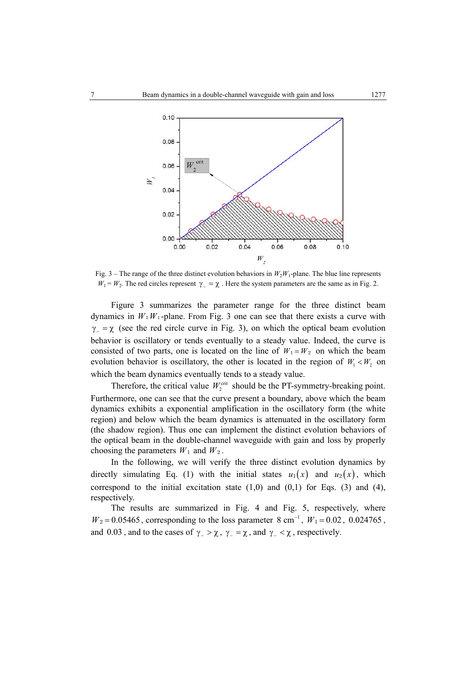

Fig. 3 – The range of the three distinct evolution behaviors in  $W_2W_1$ -plane. The blue line represents  $W_1 = W_2$ . The red circles represent  $\gamma = \chi$ . Here the system parameters are the same as in Fig. 2.

Figure 3 summarizes the parameter range for the three distinct beam dynamics in  $W_2W_1$ -plane. From Fig. 3 one can see that there exists a curve with  $\gamma = \chi$  (see the red circle curve in Fig. 3), on which the optical beam evolution behavior is oscillatory or tends eventually to a steady value. Indeed, the curve is consisted of two parts, one is located on the line of  $W_1 = W_2$  on which the beam evolution behavior is oscillatory, the other is located in the region of  $W_1 < W_2$  on which the beam dynamics eventually tends to a steady value.

Therefore, the critical value  $W_2^{\text{crit}}$  should be the PT-symmetry-breaking point. Furthermore, one can see that the curve present a boundary, above which the beam dynamics exhibits a exponential amplification in the oscillatory form (the white region) and below which the beam dynamics is attenuated in the oscillatory form (the shadow region). Thus one can implement the distinct evolution behaviors of the optical beam in the double-channel waveguide with gain and loss by properly choosing the parameters  $W_1$  and  $W_2$ .

In the following, we will verify the three distinct evolution dynamics by directly simulating Eq. (1) with the initial states  $u_1(x)$  and  $u_2(x)$ , which correspond to the initial excitation state  $(1,0)$  and  $(0,1)$  for Eqs.  $(3)$  and  $(4)$ , respectively.

The results are summarized in Fig. 4 and Fig. 5, respectively, where  $W_2 = 0.05465$ , corresponding to the loss parameter 8 cm<sup>-1</sup>,  $W_1 = 0.02$ , 0.024765, and 0.03, and to the cases of  $\gamma_-\geq \chi$ ,  $\gamma_-\geq \chi$ , and  $\gamma_-\leq \chi$ , respectively.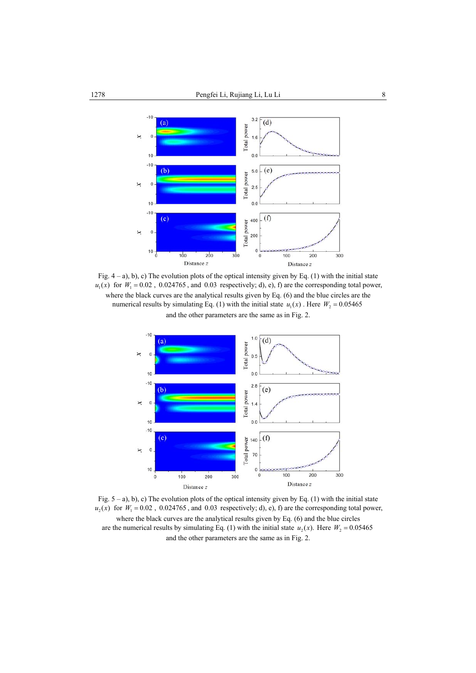

Fig.  $4 - a$ ), b), c) The evolution plots of the optical intensity given by Eq. (1) with the initial state  $u_1(x)$  for  $W_1 = 0.02$ , 0.024765, and 0.03 respectively; d), e), f) are the corresponding total power, where the black curves are the analytical results given by Eq. (6) and the blue circles are the numerical results by simulating Eq. (1) with the initial state  $u_1(x)$ . Here  $W_2 = 0.05465$ and the other parameters are the same as in Fig. 2.



Fig.  $5 - a$ ), b), c) The evolution plots of the optical intensity given by Eq. (1) with the initial state  $u_2(x)$  for  $W_1 = 0.02$ , 0.024765, and 0.03 respectively; d), e), f) are the corresponding total power, where the black curves are the analytical results given by Eq.  $(6)$  and the blue circles are the numerical results by simulating Eq. (1) with the initial state  $u_2(x)$ . Here  $W_2 = 0.05465$ and the other parameters are the same as in Fig. 2.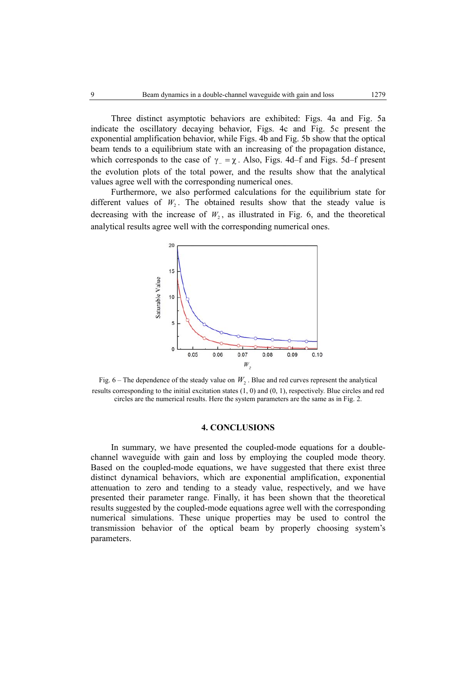Three distinct asymptotic behaviors are exhibited: Figs. 4a and Fig. 5a indicate the oscillatory decaying behavior, Figs. 4c and Fig. 5c present the exponential amplification behavior, while Figs. 4b and Fig. 5b show that the optical beam tends to a equilibrium state with an increasing of the propagation distance, which corresponds to the case of  $\gamma = \chi$ . Also, Figs. 4d–f and Figs. 5d–f present the evolution plots of the total power, and the results show that the analytical values agree well with the corresponding numerical ones.

Furthermore, we also performed calculations for the equilibrium state for different values of  $W_2$ . The obtained results show that the steady value is decreasing with the increase of  $W_2$ , as illustrated in Fig. 6, and the theoretical analytical results agree well with the corresponding numerical ones.



Fig. 6 – The dependence of the steady value on  $W_2$ . Blue and red curves represent the analytical results corresponding to the initial excitation states (1, 0) and (0, 1), respectively. Blue circles and red circles are the numerical results. Here the system parameters are the same as in Fig. 2.

### **4. CONCLUSIONS**

In summary, we have presented the coupled-mode equations for a doublechannel waveguide with gain and loss by employing the coupled mode theory. Based on the coupled-mode equations, we have suggested that there exist three distinct dynamical behaviors, which are exponential amplification, exponential attenuation to zero and tending to a steady value, respectively, and we have presented their parameter range. Finally, it has been shown that the theoretical results suggested by the coupled-mode equations agree well with the corresponding numerical simulations. These unique properties may be used to control the transmission behavior of the optical beam by properly choosing system's parameters.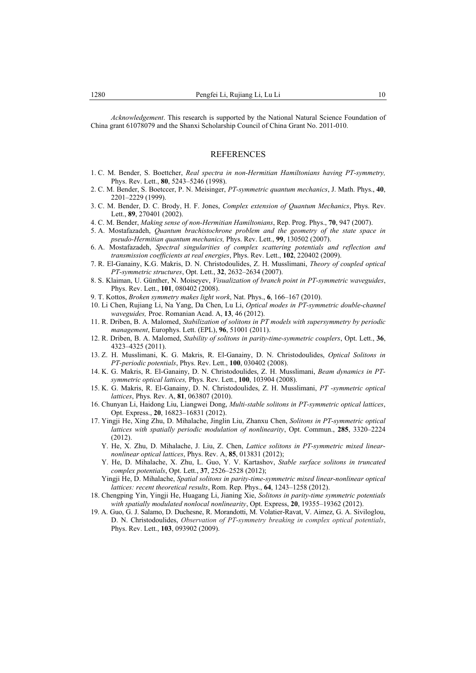*Acknowledgement*. This research is supported by the National Natural Science Foundation of China grant 61078079 and the Shanxi Scholarship Council of China Grant No. 2011-010.

#### REFERENCES

- 1. C. M. Bender, S. Boettcher, *Real spectra in non-Hermitian Hamiltonians having PT-symmetry,* Phys. Rev. Lett., **80**, 5243–5246 (1998).
- 2. C. M. Bender, S. Boetccer, P. N. Meisinger, *PT-symmetric quantum mechanics*, J. Math. Phys., **40**, 2201–2229 (1999).
- 3. C. M. Bender, D. C. Brody, H. F. Jones, *Complex extension of Quantum Mechanics*, Phys. Rev. Lett., **89**, 270401 (2002).
- 4. C. M. Bender, *Making sense of non-Hermitian Hamiltonians*, Rep. Prog. Phys., **70**, 947 (2007).
- 5. A. Mostafazadeh, *Quantum brachistochrone problem and the geometry of the state space in pseudo-Hermitian quantum mechanics,* Phys. Rev. Lett., **99**, 130502 (2007).
- 6. A. Mostafazadeh, *Spectral singularities of complex scattering potentials and reflection and transmission coefficients at real energies*, Phys. Rev. Lett., **102**, 220402 (2009).
- 7. R. El-Ganainy, K.G. Makris, D. N. Christodoulides, Z. H. Musslimani, *Theory of coupled optical PT-symmetric structures*, Opt. Lett., **32**, 2632–2634 (2007).
- 8. S. Klaiman, U. Günther, N. Moiseyev, *Visualization of branch point in PT-symmetric waveguides*, Phys. Rev. Lett., **101**, 080402 (2008).
- 9. T. Kottos, *Broken symmetry makes light work*, Nat. Phys., **6**, 166–167 (2010).
- 10. Li Chen, Rujiang Li, Na Yang, Da Chen, Lu Li, *Optical modes in PT-symmetric double-channel waveguides,* Proc. Romanian Acad. A, **13**, 46 (2012).
- 11. R. Driben, B. A. Malomed, *Stabilization of solitons in PT models with supersymmetry by periodic management*, Europhys. Lett. (EPL), **96**, 51001 (2011).
- 12. R. Driben, B. A. Malomed, *Stability of solitons in parity-time-symmetric couplers*, Opt. Lett., **36**, 4323–4325 (2011).
- 13. Z. H. Musslimani, K. G. Makris, R. El-Ganainy, D. N. Christodoulides, *Optical Solitons in PT-periodic potentials*, Phys. Rev. Lett., **100**, 030402 (2008).
- 14. K. G. Makris, R. El-Ganainy, D. N. Christodoulides, Z. H. Musslimani, *Beam dynamics in PTsymmetric optical lattices,* Phys. Rev. Lett., **100**, 103904 (2008).
- 15. K. G. Makris, R. El-Ganainy, D. N. Christodoulides, Z. H. Musslimani, *PT -symmetric optical lattices*, Phys. Rev. A, **81**, 063807 (2010).
- 16. Chunyan Li, Haidong Liu, Liangwei Dong, *Multi-stable solitons in PT-symmetric optical lattices*, Opt. Express., **20**, 16823–16831 (2012).
- 17. Yingji He, Xing Zhu, D. Mihalache, Jinglin Liu, Zhanxu Chen, *Solitons in PT-symmetric optical lattices with spatially periodic modulation of nonlinearity*, Opt. Commun., **285**, 3320–2224 (2012).
	- Y. He, X. Zhu, D. Mihalache, J. Liu, Z. Chen, *Lattice solitons in PT-symmetric mixed linearnonlinear optical lattices*, Phys. Rev. A, **85**, 013831 (2012);
	- Y. He, D. Mihalache, X. Zhu, L. Guo, Y. V. Kartashov, *Stable surface solitons in truncated complex potentials*, Opt. Lett., **37**, 2526–2528 (2012);
	- Yingji He, D. Mihalache, *Spatial solitons in parity-time-symmetric mixed linear-nonlinear optical lattices: recent theoretical results*, Rom. Rep. Phys., **64**, 1243–1258 (2012).
- 18. Chengping Yin, Yingji He, Huagang Li, Jianing Xie, *Solitons in parity-time symmetric potentials with spatially modulated nonlocal nonlinearity*, Opt. Express, **20**, 19355–19362 (2012).
- 19. A. Guo, G. J. Salamo, D. Duchesne, R. Morandotti, M. Volatier-Ravat, V. Aimez, G. A. Siviloglou, D. N. Christodoulides, *Observation of PT-symmetry breaking in complex optical potentials*, Phys. Rev. Lett., **103**, 093902 (2009).